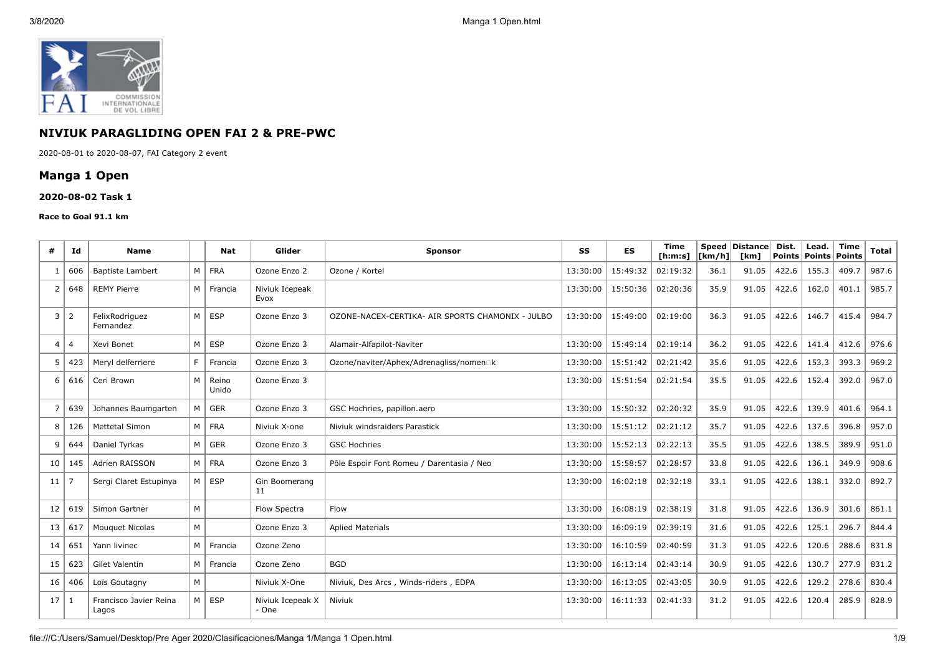

# **NIVIUK PARAGLIDING OPEN FAI 2 & PRE-PWC**

2020-08-01 to 2020-08-07, FAI Category 2 event

# **Manga 1 Open**

### **2020-08-02 Task 1**

#### **Race to Goal 91.1 km**

| #              | Ιd             | Name                            |     | Nat            | Glider                    | <b>Sponsor</b>                                   | SS       | <b>ES</b> | <b>Time</b><br>[ <b>h</b> : <b>m</b> : <b>s</b> ] | <b>Speed</b><br>[km/h] | <b>Distance</b><br>[km] | Dist.<br>Points | Lead.<br>Points | <b>Time</b><br>Points | <b>Total</b> |
|----------------|----------------|---------------------------------|-----|----------------|---------------------------|--------------------------------------------------|----------|-----------|---------------------------------------------------|------------------------|-------------------------|-----------------|-----------------|-----------------------|--------------|
| -1             | 606            | <b>Baptiste Lambert</b>         |     | M FRA          | Ozone Enzo 2              | Ozone / Kortel                                   | 13:30:00 | 15:49:32  | 02:19:32                                          | 36.1                   | 91.05                   | 422.6           | 155.3           | 409.7                 | 987.6        |
| $\overline{2}$ | 648            | <b>REMY Pierre</b>              |     | M   Francia    | Niviuk Icepeak<br>Evox    |                                                  | 13:30:00 | 15:50:36  | 02:20:36                                          | 35.9                   | 91.05                   | 422.6           | 162.0           | 401.1                 | 985.7        |
| 3              | $\overline{2}$ | FelixRodriauez<br>Fernandez     | M   | <b>ESP</b>     | Ozone Enzo 3              | OZONE-NACEX-CERTIKA- AIR SPORTS CHAMONIX - JULBO | 13:30:00 | 15:49:00  | 02:19:00                                          | 36.3                   | 91.05                   | 422.6           | 146.7           | 415.4                 | 984.7        |
| 4              | $\overline{4}$ | Xevi Bonet                      | M   | <b>ESP</b>     | Ozone Enzo 3              | Alamair-Alfapilot-Naviter                        | 13:30:00 | 15:49:14  | 02:19:14                                          | 36.2                   | 91.05                   | 422.6           | 141.4           | 412.6                 | 976.6        |
| 5              | 423            | Mervl delferriere               | F   | Francia        | Ozone Enzo 3              | Ozone/naviter/Aphex/Adrenagliss/nomen□k          | 13:30:00 | 15:51:42  | 02:21:42                                          | 35.6                   | 91.05                   | 422.6           | 153.3           | 393.3                 | 969.2        |
| 6              | 616            | Ceri Brown                      | M   | Reino<br>Unido | Ozone Enzo 3              |                                                  | 13:30:00 | 15:51:54  | 02:21:54                                          | 35.5                   | 91.05                   | 422.6           | 152.4           | 392.0                 | 967.0        |
| 7              | 639            | Johannes Baumgarten             | M   | $\mid$ GER     | Ozone Enzo 3              | GSC Hochries, papillon.aero                      | 13:30:00 | 15:50:32  | 02:20:32                                          | 35.9                   | 91.05                   | 422.6           | 139.9           | 401.6                 | 964.1        |
| 8              | 126            | <b>Mettetal Simon</b>           |     | $M$ FRA        | Niviuk X-one              | Niviuk windsraiders Parastick                    | 13:30:00 | 15:51:12  | 02:21:12                                          | 35.7                   | 91.05                   | 422.6           | 137.6           | 396.8                 | 957.0        |
| 9              | 644            | Daniel Tyrkas                   | M   | GER            | Ozone Enzo 3              | <b>GSC Hochries</b>                              | 13:30:00 | 15:52:13  | 02:22:13                                          | 35.5                   | 91.05                   | 422.6           | 138.5           | 389.9                 | 951.0        |
| 10             | 145            | Adrien RAISSON                  | M   | <b>FRA</b>     | Ozone Enzo 3              | Pôle Espoir Font Romeu / Darentasia / Neo        | 13:30:00 | 15:58:57  | 02:28:57                                          | 33.8                   | 91.05                   | 422.6           | 136.1           | 349.9                 | 908.6        |
| 11             |                | Sergi Claret Estupinya          | M I | <b>ESP</b>     | Gin Boomerang<br>11       |                                                  | 13:30:00 | 16:02:18  | 02:32:18                                          | 33.1                   | 91.05                   | 422.6           | 138.1           | 332.0                 | 892.7        |
| 12             | 619            | Simon Gartner                   | M   |                | Flow Spectra              | Flow                                             | 13:30:00 | 16:08:19  | 02:38:19                                          | 31.8                   | 91.05                   | 422.6           | 136.9           | 301.6                 | 861.1        |
| 13             | 617            | <b>Mouguet Nicolas</b>          | M   |                | Ozone Enzo 3              | <b>Aplied Materials</b>                          | 13:30:00 | 16:09:19  | 02:39:19                                          | 31.6                   | 91.05                   | 422.6           | 125.1           | 296.7                 | 844.4        |
| 14             | 651            | Yann livinec                    | M   | Francia        | Ozone Zeno                |                                                  | 13:30:00 | 16:10:59  | 02:40:59                                          | 31.3                   | 91.05                   | 422.6           | 120.6           | 288.6                 | 831.8        |
| 15             | 623            | Gilet Valentin                  | M   | Francia        | Ozone Zeno                | <b>BGD</b>                                       | 13:30:00 | 16:13:14  | 02:43:14                                          | 30.9                   | 91.05                   | 422.6           | 130.7           | 277.9                 | 831.2        |
| 16             | 406            | Loïs Goutagny                   | M   |                | Niviuk X-One              | Niviuk, Des Arcs, Winds-riders, EDPA             | 13:30:00 | 16:13:05  | 02:43:05                                          | 30.9                   | 91.05                   | 422.6           | 129.2           | 278.6                 | 830.4        |
| 17             |                | Francisco Javier Reina<br>Lagos |     | M   ESP        | Niviuk Icepeak X<br>- One | Niviuk                                           | 13:30:00 | 16:11:33  | 02:41:33                                          | 31.2                   | 91.05                   | 422.6           | 120.4           | 285.9                 | 828.9        |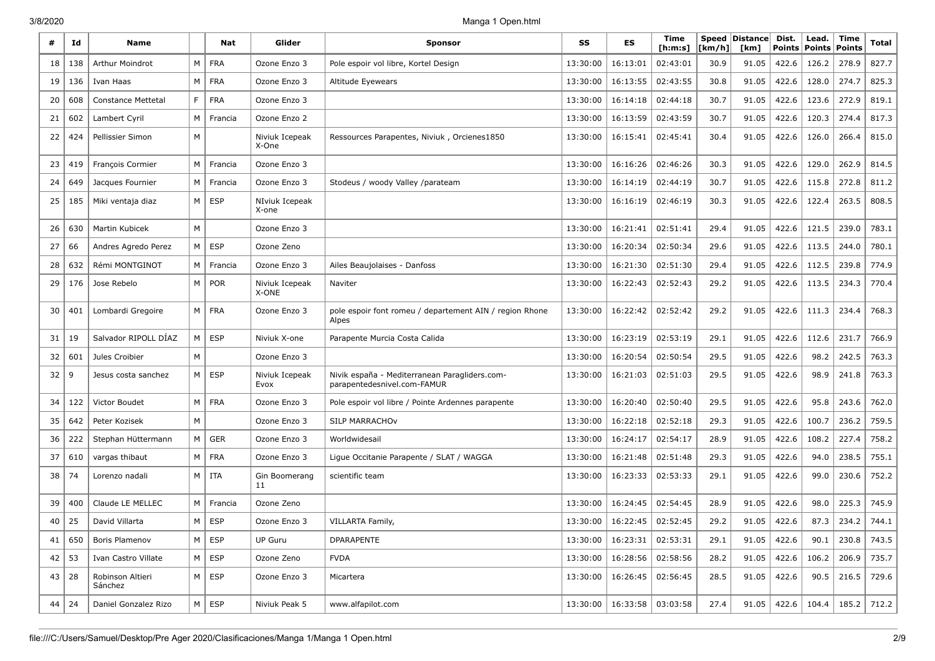3/8/2020 Manga 1 Open.html

|    | Id        | <b>Name</b>                 |                | Nat           | Glider                  | <b>Sponsor</b>                                                               | SS       | ES                | Time<br>[ h: m: s] | [km/h] | Speed Distance<br>[km] | Dist.<br><b>Points</b> | Lead.<br><b>Points</b> | Time<br><b>Points</b> | Total |
|----|-----------|-----------------------------|----------------|---------------|-------------------------|------------------------------------------------------------------------------|----------|-------------------|--------------------|--------|------------------------|------------------------|------------------------|-----------------------|-------|
| 18 | 138       | <b>Arthur Moindrot</b>      | M              | <b>FRA</b>    | Ozone Enzo 3            | Pole espoir vol libre, Kortel Design                                         | 13:30:00 | 16:13:01          | 02:43:01           | 30.9   | 91.05                  | 422.6                  | 126.2                  | 278.9                 | 827.7 |
| 19 | 136       | Ivan Haas                   | M              | <b>FRA</b>    | Ozone Enzo 3            | Altitude Eyewears                                                            | 13:30:00 | 16:13:55          | 02:43:55           | 30.8   | 91.05                  | 422.6                  | 128.0                  | 274.7                 | 825.3 |
| 20 | 608       | <b>Constance Mettetal</b>   | F              | <b>FRA</b>    | Ozone Enzo 3            |                                                                              | 13:30:00 | 16:14:18          | 02:44:18           | 30.7   | 91.05                  | 422.6                  | 123.6                  | 272.9                 | 819.1 |
| 21 | 602       | Lambert Cyril               | M              | Francia       | Ozone Enzo 2            |                                                                              | 13:30:00 | 16:13:59          | 02:43:59           | 30.7   | 91.05                  | 422.6                  | 120.3                  | 274.4                 | 817.3 |
| 22 | 424       | Pellissier Simon            | M              |               | Niviuk Icepeak<br>X-One | Ressources Parapentes, Niviuk, Orcienes1850                                  | 13:30:00 | 16:15:41          | 02:45:41           | 30.4   | 91.05                  | 422.6                  | 126.0                  | 266.4                 | 815.0 |
| 23 | 419       | <b>Francois Cormier</b>     | M              | Francia       | Ozone Enzo 3            |                                                                              | 13:30:00 | 16:16:26          | 02:46:26           | 30.3   | 91.05                  | 422.6                  | 129.0                  | 262.9                 | 814.5 |
| 24 | 649       | Jacques Fournier            | M              | Francia       | Ozone Enzo 3            | Stodeus / woody Valley /parateam                                             | 13:30:00 | 16:14:19          | 02:44:19           | 30.7   | 91.05                  | 422.6                  | 115.8                  | 272.8                 | 811.2 |
| 25 | 185       | Miki ventaja diaz           | M              | <b>ESP</b>    | NIviuk Icepeak<br>X-one |                                                                              | 13:30:00 | 16:16:19          | 02:46:19           | 30.3   | 91.05                  | 422.6                  | 122.4                  | 263.5                 | 808.5 |
| 26 | 630       | <b>Martin Kubicek</b>       | M              |               | Ozone Enzo 3            |                                                                              | 13:30:00 | 16:21:41          | 02:51:41           | 29.4   | 91.05                  | 422.6                  | 121.5                  | 239.0                 | 783.1 |
| 27 | 66        | Andres Agredo Perez         | M              | <b>ESP</b>    | Ozone Zeno              |                                                                              | 13:30:00 | 16:20:34          | 02:50:34           | 29.6   | 91.05                  | 422.6                  | 113.5                  | 244.0                 | 780.1 |
| 28 | 632       | Rémi MONTGINOT              | M              | Francia       | Ozone Enzo 3            | Ailes Beaujolaises - Danfoss                                                 | 13:30:00 | 16:21:30          | 02:51:30           | 29.4   | 91.05                  | 422.6                  | 112.5                  | 239.8                 | 774.9 |
| 29 | 176       | Jose Rebelo                 | M              | <b>POR</b>    | Niviuk Icepeak<br>X-ONE | Naviter                                                                      | 13:30:00 | 16:22:43          | 02:52:43           | 29.2   | 91.05                  | 422.6                  | 113.5                  | 234.3                 | 770.4 |
| 30 | 401       | Lombardi Gregoire           | M              | <b>FRA</b>    | Ozone Enzo 3            | pole espoir font romeu / departement AIN / region Rhone<br>Alpes             | 13:30:00 | 16:22:42          | 02:52:42           | 29.2   | 91.05                  | 422.6                  | 111.3                  | 234.4                 | 768.3 |
| 31 | 19        | Salvador RIPOLL DÍAZ        | M              | <b>ESP</b>    | Niviuk X-one            | Parapente Murcia Costa Calida                                                | 13:30:00 | 16:23:19          | 02:53:19           | 29.1   | 91.05                  | 422.6                  | 112.6                  | 231.7                 | 766.9 |
| 32 | 601       | Jules Croibier              | M              |               | Ozone Enzo 3            |                                                                              | 13:30:00 | 16:20:54          | 02:50:54           | 29.5   | 91.05                  | 422.6                  | 98.2                   | 242.5                 | 763.3 |
| 32 | 9         | Jesus costa sanchez         | M <sub>1</sub> | <b>ESP</b>    | Niviuk Icepeak<br>Evox  | Nivik españa - Mediterranean Paragliders.com-<br>parapentedesnivel.com-FAMUR | 13:30:00 | 16:21:03          | 02:51:03           | 29.5   | 91.05                  | 422.6                  | 98.9                   | 241.8                 | 763.3 |
| 34 | 122       | Victor Boudet               | M              | <b>FRA</b>    | Ozone Enzo 3            | Pole espoir vol libre / Pointe Ardennes parapente                            | 13:30:00 | 16:20:40          | 02:50:40           | 29.5   | 91.05                  | 422.6                  | 95.8                   | 243.6                 | 762.0 |
| 35 | 642       | Peter Kozisek               | M              |               | Ozone Enzo 3            | SILP MARRACHOV                                                               | 13:30:00 | 16:22:18          | 02:52:18           | 29.3   | 91.05                  | 422.6                  | 100.7                  | 236.2                 | 759.5 |
| 36 | 222       | Stephan Hüttermann          | M              | <b>GER</b>    | Ozone Enzo 3            | Worldwidesail                                                                | 13:30:00 | 16:24:17          | 02:54:17           | 28.9   | 91.05                  | 422.6                  | 108.2                  | 227.4                 | 758.2 |
| 37 | 610       | vargas thibaut              | M              | <b>FRA</b>    | Ozone Enzo 3            | Lique Occitanie Parapente / SLAT / WAGGA                                     | 13:30:00 | 16:21:48          | 02:51:48           | 29.3   | 91.05                  | 422.6                  | 94.0                   | 238.5                 | 755.1 |
| 38 | 74        | Lorenzo nadali              | M              | ITA           | Gin Boomerang<br>11     | scientific team                                                              | 13:30:00 | 16:23:33          | 02:53:33           | 29.1   | 91.05                  | 422.6                  | 99.0                   | 230.6                 | 752.2 |
| 39 | 400       | Claude LE MELLEC            | M              | Francia       | Ozone Zeno              |                                                                              | 13:30:00 | 16:24:45          | 02:54:45           | 28.9   | 91.05                  | 422.6                  | 98.0                   | 225.3                 | 745.9 |
| 40 | 25        | David Villarta              | M              | <b>ESP</b>    | Ozone Enzo 3            | VILLARTA Family,                                                             | 13:30:00 | 16:22:45          | 02:52:45           | 29.2   | 91.05                  | 422.6                  | 87.3                   | 234.2                 | 744.1 |
| 41 | 650       | Boris Plamenov              |                | $M \vert$ ESP | UP Guru                 | DPARAPENTE                                                                   | 13:30:00 | 16:23:31          | 02:53:31           | 29.1   | 91.05                  | 422.6                  | 90.1                   | 230.8                 | 743.5 |
| 42 | 53        | Ivan Castro Villate         |                | $M \vert$ ESP | Ozone Zeno              | <b>FVDA</b>                                                                  | 13:30:00 | 16:28:56          | 02:58:56           | 28.2   | 91.05                  | 422.6                  | 106.2                  | 206.9                 | 735.7 |
|    | 43   28   | Robinson Altieri<br>Sánchez |                | $M \vert ESP$ | Ozone Enzo 3            | Micartera                                                                    | 13:30:00 | 16:26:45          | 02:56:45           | 28.5   | 91.05                  | 422.6                  | 90.5                   | 216.5                 | 729.6 |
|    | $44$   24 | Daniel Gonzalez Rizo        | $M \mid$       | <b>ESP</b>    | Niviuk Peak 5           | www.alfapilot.com                                                            | 13:30:00 | 16:33:58 03:03:58 |                    | 27.4   | 91.05                  | 422.6                  | 104.4                  | 185.2                 | 712.2 |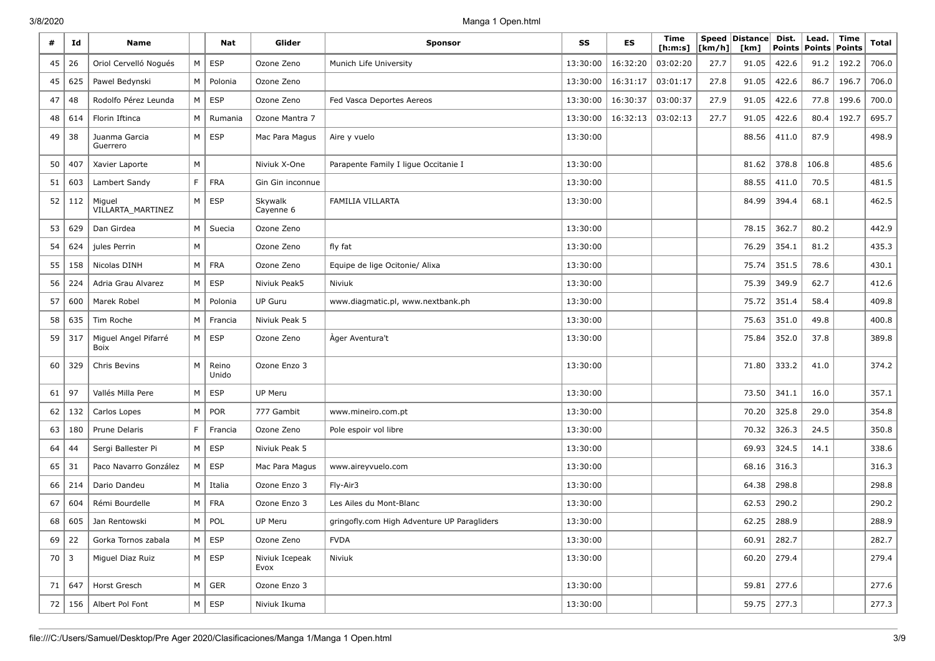| #           | Id           | <b>Name</b>                  |                | Nat            | Glider                 | <b>Sponsor</b>                              | SS       | <b>ES</b> | Time<br>[ <b>h</b> : <b>m</b> : <b>s</b> ] | [km/h] | Speed   Distance  <br>[km] | Dist.<br><b>Points</b> | Lead.<br><b>Points</b> | Time<br><b>Points</b> | <b>Total</b> |
|-------------|--------------|------------------------------|----------------|----------------|------------------------|---------------------------------------------|----------|-----------|--------------------------------------------|--------|----------------------------|------------------------|------------------------|-----------------------|--------------|
| 45          | 26           | Oriol Cervelló Nogués        | M              | <b>ESP</b>     | Ozone Zeno             | Munich Life University                      | 13:30:00 | 16:32:20  | 03:02:20                                   | 27.7   | 91.05                      | 422.6                  | 91.2                   | 192.2                 | 706.0        |
| 45          | 625          | Pawel Bedynski               | M              | Polonia        | Ozone Zeno             |                                             | 13:30:00 | 16:31:17  | 03:01:17                                   | 27.8   | 91.05                      | 422.6                  | 86.7                   | 196.7                 | 706.0        |
| 47          | 48           | Rodolfo Pérez Leunda         | M              | <b>ESP</b>     | Ozone Zeno             | Fed Vasca Deportes Aereos                   | 13:30:00 | 16:30:37  | 03:00:37                                   | 27.9   | 91.05                      | 422.6                  | 77.8                   | 199.6                 | 700.0        |
| 48          | 614          | Florin Iftinca               | M              | Rumania        | Ozone Mantra 7         |                                             | 13:30:00 | 16:32:13  | 03:02:13                                   | 27.7   | 91.05                      | 422.6                  | 80.4                   | 192.7                 | 695.7        |
| 49          | 38           | Juanma Garcia<br>Guerrero    | M <sub>1</sub> | ESP            | Mac Para Magus         | Aire y vuelo                                | 13:30:00 |           |                                            |        | 88.56                      | 411.0                  | 87.9                   |                       | 498.9        |
| 50          | 407          | Xavier Laporte               | М              |                | Niviuk X-One           | Parapente Family I ligue Occitanie I        | 13:30:00 |           |                                            |        | 81.62                      | 378.8                  | 106.8                  |                       | 485.6        |
| 51          | 603          | Lambert Sandy                | F              | <b>FRA</b>     | Gin Gin inconnue       |                                             | 13:30:00 |           |                                            |        | 88.55                      | 411.0                  | 70.5                   |                       | 481.5        |
| 52          | 112          | Miguel<br>VILLARTA_MARTINEZ  | M              | <b>ESP</b>     | Skywalk<br>Cayenne 6   | FAMILIA VILLARTA                            | 13:30:00 |           |                                            |        | 84.99                      | 394.4                  | 68.1                   |                       | 462.5        |
| 53          | 629          | Dan Girdea                   | M              | Suecia         | Ozone Zeno             |                                             | 13:30:00 |           |                                            |        | 78.15                      | 362.7                  | 80.2                   |                       | 442.9        |
| 54          | 624          | jules Perrin                 | М              |                | Ozone Zeno             | fly fat                                     | 13:30:00 |           |                                            |        | 76.29                      | 354.1                  | 81.2                   |                       | 435.3        |
| 55          | 158          | Nicolas DINH                 | M              | <b>FRA</b>     | Ozone Zeno             | Equipe de lige Ocitonie/ Alixa              | 13:30:00 |           |                                            |        | 75.74                      | 351.5                  | 78.6                   |                       | 430.1        |
| 56          | 224          | Adria Grau Alvarez           | M              | <b>ESP</b>     | Niviuk Peak5           | Niviuk                                      | 13:30:00 |           |                                            |        | 75.39                      | 349.9                  | 62.7                   |                       | 412.6        |
| 57          | 600          | Marek Robel                  | M              | Polonia        | <b>UP Guru</b>         | www.diagmatic.pl, www.nextbank.ph           | 13:30:00 |           |                                            |        | 75.72                      | 351.4                  | 58.4                   |                       | 409.8        |
| 58          | 635          | Tim Roche                    | M              | Francia        | Niviuk Peak 5          |                                             | 13:30:00 |           |                                            |        | 75.63                      | 351.0                  | 49.8                   |                       | 400.8        |
| 59          | 317          | Miguel Angel Pifarré<br>Boix | M              | <b>ESP</b>     | Ozone Zeno             | Ager Aventura't                             | 13:30:00 |           |                                            |        | 75.84                      | 352.0                  | 37.8                   |                       | 389.8        |
| 60          | 329          | Chris Bevins                 | M              | Reino<br>Unido | Ozone Enzo 3           |                                             | 13:30:00 |           |                                            |        | 71.80                      | 333.2                  | 41.0                   |                       | 374.2        |
| 61          | 97           | Vallés Milla Pere            | M              | <b>ESP</b>     | <b>UP Meru</b>         |                                             | 13:30:00 |           |                                            |        | 73.50                      | 341.1                  | 16.0                   |                       | 357.1        |
| 62          | 132          | Carlos Lopes                 | M              | POR            | 777 Gambit             | www.mineiro.com.pt                          | 13:30:00 |           |                                            |        | 70.20                      | 325.8                  | 29.0                   |                       | 354.8        |
| 63          | 180          | Prune Delaris                | F              | Francia        | Ozone Zeno             | Pole espoir vol libre                       | 13:30:00 |           |                                            |        | 70.32                      | 326.3                  | 24.5                   |                       | 350.8        |
| 64          | 44           | Sergi Ballester Pi           | M <sub>1</sub> | <b>ESP</b>     | Niviuk Peak 5          |                                             | 13:30:00 |           |                                            |        | 69.93                      | 324.5                  | 14.1                   |                       | 338.6        |
| 65          | 31           | Paco Navarro González        | M              | <b>ESP</b>     | Mac Para Magus         | www.aireyvuelo.com                          | 13:30:00 |           |                                            |        | 68.16                      | 316.3                  |                        |                       | 316.3        |
| 66          | 214          | Dario Dandeu                 | M              | Italia         | Ozone Enzo 3           | Fly-Air3                                    | 13:30:00 |           |                                            |        | 64.38                      | 298.8                  |                        |                       | 298.8        |
| 67          | 604          | Rémi Bourdelle               |                | $M \vert$ FRA  | Ozone Enzo 3           | Les Ailes du Mont-Blanc                     | 13:30:00 |           |                                            |        | 62.53                      | 290.2                  |                        |                       | 290.2        |
| 68          | 605          | Jan Rentowski                |                | $M \vert POL$  | UP Meru                | gringofly.com High Adventure UP Paragliders | 13:30:00 |           |                                            |        | 62.25                      | 288.9                  |                        |                       | 288.9        |
|             | $69 \mid 22$ | Gorka Tornos zabala          |                | $M \vert$ ESP  | Ozone Zeno             | <b>FVDA</b>                                 | 13:30:00 |           |                                            |        | 60.91                      | 282.7                  |                        |                       | 282.7        |
| $70 \mid 3$ |              | Miguel Diaz Ruiz             |                | $M \vert$ ESP  | Niviuk Icepeak<br>Evox | Niviuk                                      | 13:30:00 |           |                                            |        | 60.20                      | 279.4                  |                        |                       | 279.4        |
| 71          | 647          | Horst Gresch                 |                | $M \vert$ GER  | Ozone Enzo 3           |                                             | 13:30:00 |           |                                            |        | 59.81                      | 277.6                  |                        |                       | 277.6        |
| 72          | 156          | Albert Pol Font              |                | $M \vert ESP$  | Niviuk Ikuma           |                                             | 13:30:00 |           |                                            |        | 59.75                      | 277.3                  |                        |                       | 277.3        |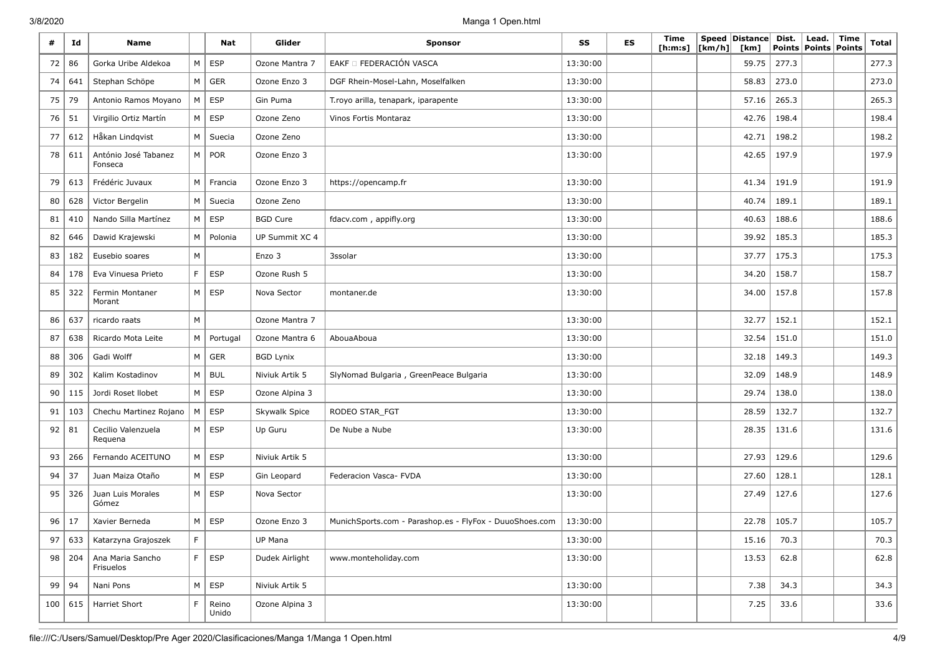| #  | Id        | Name                            |               | Nat            | Glider           | Sponsor                                                 | SS       | ES | Time<br>[ h: m: s] | [km/h] | Speed Distance<br>[km] | Dist.<br><b>Points</b> | Lead.<br>Points   Points | Time | <b>Total</b> |
|----|-----------|---------------------------------|---------------|----------------|------------------|---------------------------------------------------------|----------|----|--------------------|--------|------------------------|------------------------|--------------------------|------|--------------|
| 72 | 86        | Gorka Uribe Aldekoa             | M             | <b>ESP</b>     | Ozone Mantra 7   | EAKF O FEDERACIÓN VASCA                                 | 13:30:00 |    |                    |        | 59.75                  | 277.3                  |                          |      | 277.3        |
| 74 | 641       | Stephan Schöpe                  |               | $M \vert$ GER  | Ozone Enzo 3     | DGF Rhein-Mosel-Lahn, Moselfalken                       | 13:30:00 |    |                    |        | 58.83                  | 273.0                  |                          |      | 273.0        |
| 75 | 79        | Antonio Ramos Moyano            | M             | <b>ESP</b>     | Gin Puma         | T.royo arilla, tenapark, iparapente                     | 13:30:00 |    |                    |        | 57.16                  | 265.3                  |                          |      | 265.3        |
| 76 | 51        | Virgilio Ortiz Martín           | M             | <b>ESP</b>     | Ozone Zeno       | Vinos Fortis Montaraz                                   | 13:30:00 |    |                    |        | 42.76                  | 198.4                  |                          |      | 198.4        |
| 77 | 612       | Håkan Lindqvist                 | M             | Suecia         | Ozone Zeno       |                                                         | 13:30:00 |    |                    |        | 42.71                  | 198.2                  |                          |      | 198.2        |
| 78 | 611       | António José Tabanez<br>Fonseca |               | M   POR        | Ozone Enzo 3     |                                                         | 13:30:00 |    |                    |        | 42.65                  | 197.9                  |                          |      | 197.9        |
| 79 | 613       | Frédéric Juvaux                 | M             | Francia        | Ozone Enzo 3     | https://opencamp.fr                                     | 13:30:00 |    |                    |        | 41.34                  | 191.9                  |                          |      | 191.9        |
| 80 | 628       | Victor Bergelin                 | M             | Suecia         | Ozone Zeno       |                                                         | 13:30:00 |    |                    |        | 40.74                  | 189.1                  |                          |      | 189.1        |
| 81 | 410       | Nando Silla Martínez            | M             | <b>ESP</b>     | <b>BGD Cure</b>  | fdacv.com, appifly.org                                  | 13:30:00 |    |                    |        | 40.63                  | 188.6                  |                          |      | 188.6        |
| 82 | 646       | Dawid Krajewski                 | М             | Polonia        | UP Summit XC 4   |                                                         | 13:30:00 |    |                    |        | 39.92                  | 185.3                  |                          |      | 185.3        |
| 83 | 182       | Eusebio soares                  | M             |                | Enzo 3           | 3ssolar                                                 | 13:30:00 |    |                    |        | 37.77                  | 175.3                  |                          |      | 175.3        |
| 84 | 178       | Eva Vinuesa Prieto              | $\mathsf F$   | <b>ESP</b>     | Ozone Rush 5     |                                                         | 13:30:00 |    |                    |        | 34.20                  | 158.7                  |                          |      | 158.7        |
| 85 | 322       | Fermin Montaner<br>Morant       |               | $M \vert$ ESP  | Nova Sector      | montaner.de                                             | 13:30:00 |    |                    |        | 34.00                  | 157.8                  |                          |      | 157.8        |
| 86 | 637       | ricardo raats                   | M             |                | Ozone Mantra 7   |                                                         | 13:30:00 |    |                    |        | 32.77                  | 152.1                  |                          |      | 152.1        |
| 87 | 638       | Ricardo Mota Leite              | M             | Portugal       | Ozone Mantra 6   | AbouaAboua                                              | 13:30:00 |    |                    |        | 32.54                  | 151.0                  |                          |      | 151.0        |
| 88 | 306       | Gadi Wolff                      | M             | <b>GER</b>     | <b>BGD Lynix</b> |                                                         | 13:30:00 |    |                    |        | 32.18                  | 149.3                  |                          |      | 149.3        |
| 89 | 302       | Kalim Kostadinov                |               | $M \vert BUL$  | Niviuk Artik 5   | SlyNomad Bulgaria, GreenPeace Bulgaria                  | 13:30:00 |    |                    |        | 32.09                  | 148.9                  |                          |      | 148.9        |
| 90 | 115       | Jordi Roset Ilobet              | M             | <b>ESP</b>     | Ozone Alpina 3   |                                                         | 13:30:00 |    |                    |        | 29.74                  | 138.0                  |                          |      | 138.0        |
| 91 | 103       | Chechu Martinez Rojano          | M             | <b>ESP</b>     | Skywalk Spice    | RODEO STAR_FGT                                          | 13:30:00 |    |                    |        | 28.59                  | 132.7                  |                          |      | 132.7        |
| 92 | 81        | Cecilio Valenzuela<br>Requena   | M             | <b>ESP</b>     | Up Guru          | De Nube a Nube                                          | 13:30:00 |    |                    |        | 28.35                  | 131.6                  |                          |      | 131.6        |
| 93 | 266       | Fernando ACEITUNO               | M             | <b>ESP</b>     | Niviuk Artik 5   |                                                         | 13:30:00 |    |                    |        | 27.93                  | 129.6                  |                          |      | 129.6        |
| 94 | 37        | Juan Maiza Otaño                | M             | <b>ESP</b>     | Gin Leopard      | Federacion Vasca- FVDA                                  | 13:30:00 |    |                    |        | 27.60                  | 128.1                  |                          |      | 128.1        |
| 95 | 326       | Juan Luis Morales<br>Gómez      |               | $M \vert$ ESP  | Nova Sector      |                                                         | 13:30:00 |    |                    |        | 27.49                  | 127.6                  |                          |      | 127.6        |
| 96 | 17        | Xavier Berneda                  | M             | <b>ESP</b>     | Ozone Enzo 3     | MunichSports.com - Parashop.es - FlyFox - DuuoShoes.com | 13:30:00 |    |                    |        | 22.78                  | 105.7                  |                          |      | 105.7        |
| 97 | 633       | Katarzyna Grajoszek             | $\mathsf F$   |                | UP Mana          |                                                         | 13:30:00 |    |                    |        | 15.16                  | 70.3                   |                          |      | 70.3         |
|    | 98   204  | Ana Maria Sancho<br>Frisuelos   | $\mathsf F^+$ | ESP            | Dudek Airlight   | www.monteholiday.com                                    | 13:30:00 |    |                    |        | 13.53                  | 62.8                   |                          |      | 62.8         |
| 99 | 94        | Nani Pons                       |               | $M \vert ESP$  | Niviuk Artik 5   |                                                         | 13:30:00 |    |                    |        | 7.38                   | 34.3                   |                          |      | 34.3         |
|    | 100   615 | Harriet Short                   | $\mathsf F$   | Reino<br>Unido | Ozone Alpina 3   |                                                         | 13:30:00 |    |                    |        | 7.25                   | 33.6                   |                          |      | 33.6         |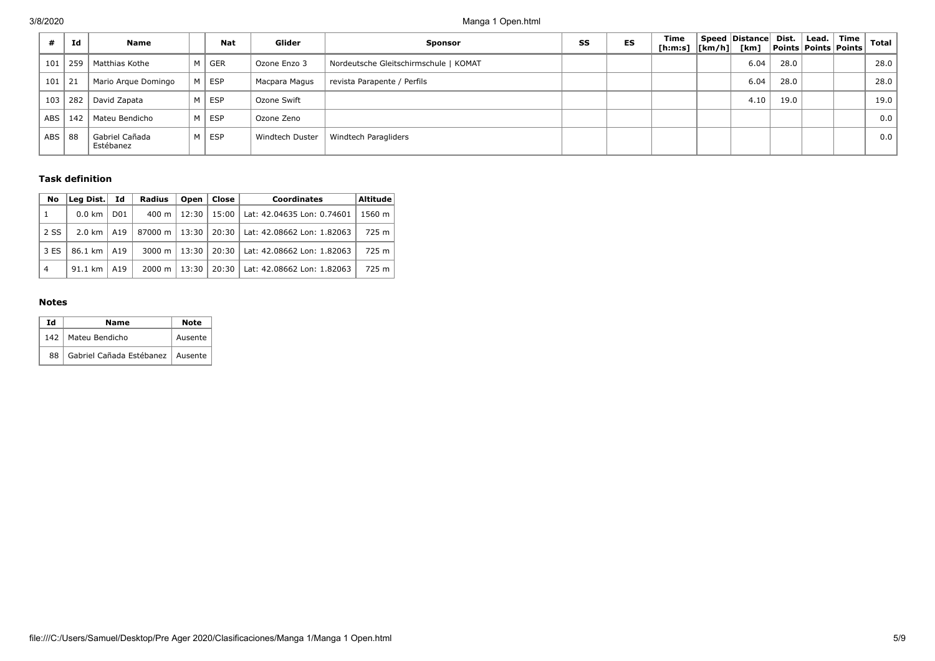|            | Id  | Name                        | <b>Nat</b> | Glider          | <b>Sponsor</b>                        | SS | ES | Time | Speed Distance Dist.<br>[h:m:s]  [km/h]  [km]  Points   Points   Points |      | $ $ Lead. $ $ | Time | <b>Total</b> |
|------------|-----|-----------------------------|------------|-----------------|---------------------------------------|----|----|------|-------------------------------------------------------------------------|------|---------------|------|--------------|
| 101        | 259 | Matthias Kothe              | M GER      | Ozone Enzo 3    | Nordeutsche Gleitschirmschule   KOMAT |    |    |      | 6.04                                                                    | 28.0 |               |      | 28.0         |
| 101        | 21  | Mario Argue Domingo         | M ESP      | Macpara Magus   | revista Parapente / Perfils           |    |    |      | 6.04                                                                    | 28.0 |               |      | 28.0         |
| 103        | 282 | David Zapata                | M ESP      | Ozone Swift     |                                       |    |    |      | 4.10                                                                    | 19.0 |               |      | 19.0         |
| <b>ABS</b> | 142 | Mateu Bendicho              | M ESP      | Ozone Zeno      |                                       |    |    |      |                                                                         |      |               |      | 0.0          |
| <b>ABS</b> | 88  | Gabriel Cañada<br>Estébanez | M ESP      | Windtech Duster | Windtech Paragliders                  |    |    |      |                                                                         |      |               |      | 0.0          |

## **Task definition**

| No             | Lea Dist.        | Id               | <b>Radius</b>      | Open  | Close   | Coordinates                | <b>Altitude</b> |
|----------------|------------------|------------------|--------------------|-------|---------|----------------------------|-----------------|
|                | $0.0 \text{ km}$ | D <sub>0</sub> 1 | 400 m              | 12:30 | 15:00   | Lat: 42.04635 Lon: 0.74601 | 1560 m          |
| 2 SS           | 2.0 km           | A19              | 87000 m            | 13:30 | $20:30$ | Lat: 42.08662 Lon: 1.82063 | 725 m           |
| 3 ES           | 86.1 km          | A19              | 3000 m $\vert$     | 13:30 | 20:30   | Lat: 42.08662 Lon: 1.82063 | 725 m           |
| $\overline{4}$ | 91.1 km          | A19              | $2000 \; \text{m}$ | 13:30 | 20:30   | Lat: 42.08662 Lon: 1.82063 | 725 m           |

## **Notes**

| Ιd | Name                               | <b>Note</b> |  |  |
|----|------------------------------------|-------------|--|--|
|    | 142   Mateu Bendicho               | Ausente     |  |  |
| 88 | Gabriel Cañada Estébanez   Ausente |             |  |  |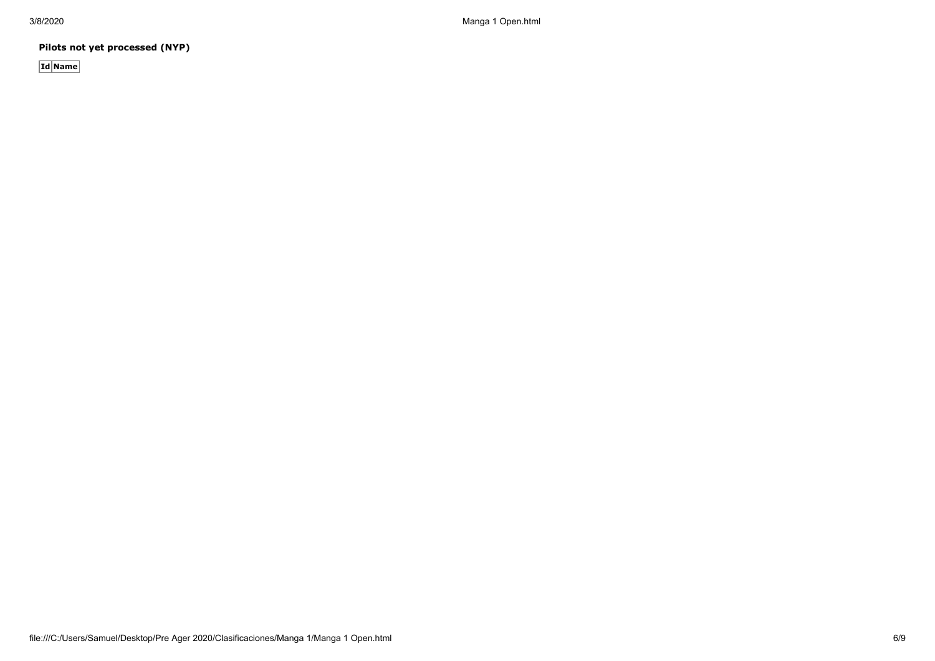3/8/2020 Manga 1 Open.html

**Pilots not yet processed (NYP)**

**Id Name**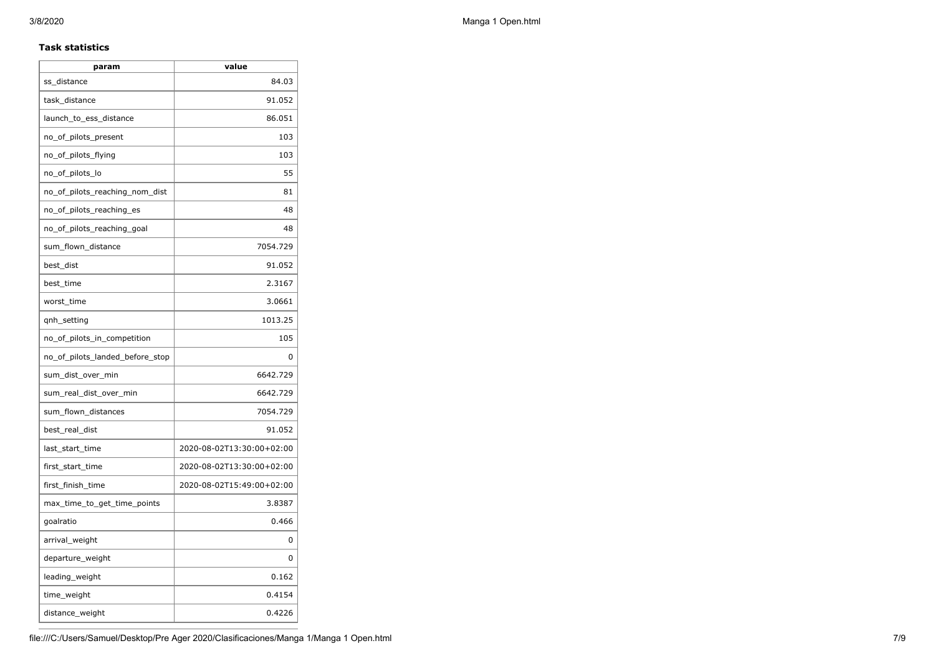### **Task statistics**

| param                           | value                     |
|---------------------------------|---------------------------|
| ss_distance                     | 84.03                     |
| task_distance                   | 91.052                    |
| launch_to_ess_distance          | 86.051                    |
| no_of_pilots_present            | 103                       |
| no_of_pilots_flying             | 103                       |
| no_of_pilots_lo                 | 55                        |
| no_of_pilots_reaching_nom_dist  | 81                        |
| no_of_pilots_reaching_es        | 48                        |
| no of pilots reaching goal      | 48                        |
| sum_flown_distance              | 7054.729                  |
| best_dist                       | 91.052                    |
| best_time                       | 2.3167                    |
| worst_time                      | 3.0661                    |
| qnh_setting                     | 1013.25                   |
| no_of_pilots_in_competition     | 105                       |
| no_of_pilots_landed_before_stop | 0                         |
| sum_dist_over_min               | 6642.729                  |
| sum_real_dist_over_min          | 6642.729                  |
| sum_flown_distances             | 7054.729                  |
| best_real_dist                  | 91.052                    |
| last_start_time                 | 2020-08-02T13:30:00+02:00 |
| first_start_time                | 2020-08-02T13:30:00+02:00 |
| first_finish_time               | 2020-08-02T15:49:00+02:00 |
| max_time_to_get_time_points     | 3.8387                    |
| goalratio                       | 0.466                     |
| arrival_weight                  | 0                         |
| departure_weight                | 0                         |
| leading_weight                  | 0.162                     |
| time_weight                     | 0.4154                    |
| distance_weight                 | 0.4226                    |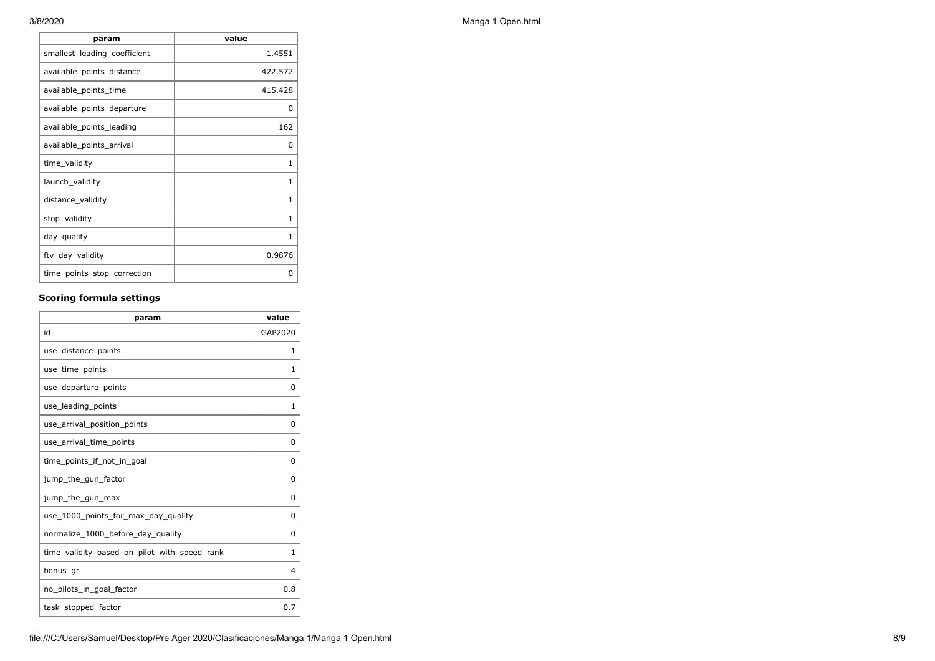| param                        | value   |
|------------------------------|---------|
| smallest_leading_coefficient | 1.4551  |
| available_points_distance    | 422.572 |
| available_points_time        | 415.428 |
| available_points_departure   | 0       |
| available_points_leading     | 162     |
| available_points_arrival     | 0       |
| time_validity                | 1       |
| launch_validity              | 1       |
| distance_validity            | 1       |
| stop_validity                | 1       |
| day_quality                  | 1       |
| ftv_day_validity             | 0.9876  |
| time_points_stop_correction  | O       |

## **Scoring formula settings**

| param                                        | value    |
|----------------------------------------------|----------|
| id                                           | GAP2020  |
| use_distance_points                          | 1        |
| use_time_points                              | 1        |
| use_departure_points                         | $\Omega$ |
| use_leading_points                           | 1        |
| use_arrival_position_points                  | 0        |
| use_arrival_time_points                      | 0        |
| time points if not in goal                   | $\Omega$ |
| jump_the_gun_factor                          | $\Omega$ |
| jump_the_gun_max                             | 0        |
| use 1000 points for max day quality          | $\Omega$ |
| normalize_1000_before_day_quality            | 0        |
| time_validity_based_on_pilot_with_speed_rank | 1        |
| bonus_gr                                     | 4        |
| no_pilots_in_goal_factor                     | 0.8      |
| task_stopped_factor                          | 0.7      |